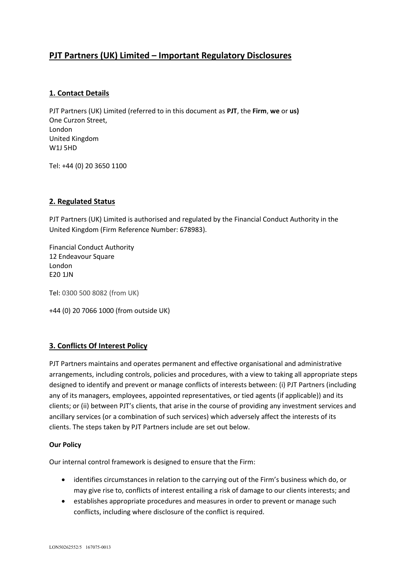# **PJT Partners (UK) Limited – Important Regulatory Disclosures**

# **1. Contact Details**

PJT Partners (UK) Limited (referred to in this document as **PJT**, the **Firm**, **we** or **us)** One Curzon Street, London United Kingdom W1J 5HD

Tel: +44 (0) 20 3650 1100

# **2. Regulated Status**

PJT Partners (UK) Limited is authorised and regulated by the Financial Conduct Authority in the United Kingdom (Firm Reference Number: 678983).

Financial Conduct Authority 12 Endeavour Square London E20 1JN

Tel: 0300 500 8082 (from UK)

+44 (0) 20 7066 1000 (from outside UK)

# **3. Conflicts Of Interest Policy**

PJT Partners maintains and operates permanent and effective organisational and administrative arrangements, including controls, policies and procedures, with a view to taking all appropriate steps designed to identify and prevent or manage conflicts of interests between: (i) PJT Partners (including any of its managers, employees, appointed representatives, or tied agents (if applicable)) and its clients; or (ii) between PJT's clients, that arise in the course of providing any investment services and ancillary services (or a combination of such services) which adversely affect the interests of its clients. The steps taken by PJT Partners include are set out below.

#### **Our Policy**

Our internal control framework is designed to ensure that the Firm:

- identifies circumstances in relation to the carrying out of the Firm's business which do, or may give rise to, conflicts of interest entailing a risk of damage to our clients interests; and
- establishes appropriate procedures and measures in order to prevent or manage such conflicts, including where disclosure of the conflict is required.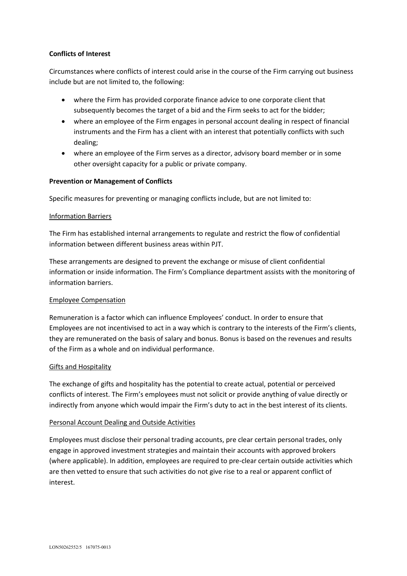# **Conflicts of Interest**

Circumstances where conflicts of interest could arise in the course of the Firm carrying out business include but are not limited to, the following:

- where the Firm has provided corporate finance advice to one corporate client that subsequently becomes the target of a bid and the Firm seeks to act for the bidder;
- where an employee of the Firm engages in personal account dealing in respect of financial instruments and the Firm has a client with an interest that potentially conflicts with such dealing;
- where an employee of the Firm serves as a director, advisory board member or in some other oversight capacity for a public or private company.

#### **Prevention or Management of Conflicts**

Specific measures for preventing or managing conflicts include, but are not limited to:

#### Information Barriers

The Firm has established internal arrangements to regulate and restrict the flow of confidential information between different business areas within PJT.

These arrangements are designed to prevent the exchange or misuse of client confidential information or inside information. The Firm's Compliance department assists with the monitoring of information barriers.

#### Employee Compensation

Remuneration is a factor which can influence Employees' conduct. In order to ensure that Employees are not incentivised to act in a way which is contrary to the interests of the Firm's clients, they are remunerated on the basis of salary and bonus. Bonus is based on the revenues and results of the Firm as a whole and on individual performance.

# Gifts and Hospitality

The exchange of gifts and hospitality has the potential to create actual, potential or perceived conflicts of interest. The Firm's employees must not solicit or provide anything of value directly or indirectly from anyone which would impair the Firm's duty to act in the best interest of its clients.

#### Personal Account Dealing and Outside Activities

Employees must disclose their personal trading accounts, pre clear certain personal trades, only engage in approved investment strategies and maintain their accounts with approved brokers (where applicable). In addition, employees are required to pre-clear certain outside activities which are then vetted to ensure that such activities do not give rise to a real or apparent conflict of interest.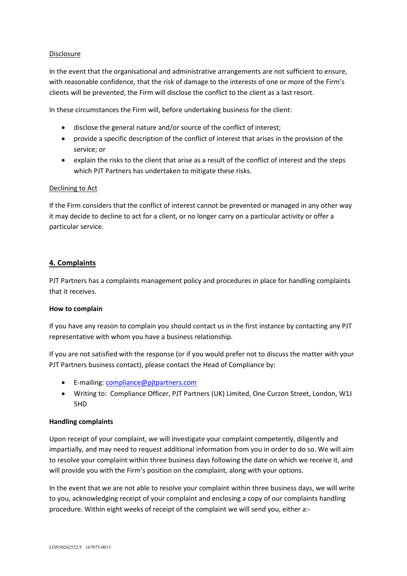## Disclosure

In the event that the organisational and administrative arrangements are not sufficient to ensure, with reasonable confidence, that the risk of damage to the interests of one or more of the Firm's clients will be prevented, the Firm will disclose the conflict to the client as a last resort.

In these circumstances the Firm will, before undertaking business for the client:

- disclose the general nature and/or source of the conflict of interest;
- provide a specific description of the conflict of interest that arises in the provision of the service; or
- explain the risks to the client that arise as a result of the conflict of interest and the steps which PJT Partners has undertaken to mitigate these risks.

#### Declining to Act

If the Firm considers that the conflict of interest cannot be prevented or managed in any other way it may decide to decline to act for a client, or no longer carry on a particular activity or offer a particular service.

# **4. Complaints**

PJT Partners has a complaints management policy and procedures in place for handling complaints that it receives.

#### **How to complain**

If you have any reason to complain you should contact us in the first instance by contacting any PJT representative with whom you have a business relationship.

If you are not satisfied with the response (or if you would prefer not to discuss the matter with your PJT Partners business contact), please contact the Head of Compliance by:

- E-mailing: [compliance@pjtpartners.com](mailto:compliance@pjtpartners.com)
- Writing to: Compliance Officer, PJT Partners (UK) Limited, One Curzon Street, London, W1J 5HD

#### **Handling complaints**

Upon receipt of your complaint, we will investigate your complaint competently, diligently and impartially, and may need to request additional information from you in order to do so. We will aim to resolve your complaint within three business days following the date on which we receive it, and will provide you with the Firm's position on the complaint, along with your options.

In the event that we are not able to resolve your complaint within three business days, we will write to you, acknowledging receipt of your complaint and enclosing a copy of our complaints handling procedure. Within eight weeks of receipt of the complaint we will send you, either a:-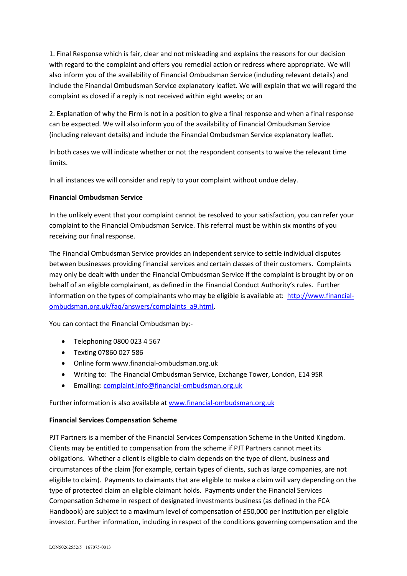1. Final Response which is fair, clear and not misleading and explains the reasons for our decision with regard to the complaint and offers you remedial action or redress where appropriate. We will also inform you of the availability of Financial Ombudsman Service (including relevant details) and include the Financial Ombudsman Service explanatory leaflet. We will explain that we will regard the complaint as closed if a reply is not received within eight weeks; or an

2. Explanation of why the Firm is not in a position to give a final response and when a final response can be expected. We will also inform you of the availability of Financial Ombudsman Service (including relevant details) and include the Financial Ombudsman Service explanatory leaflet.

In both cases we will indicate whether or not the respondent consents to waive the relevant time limits.

In all instances we will consider and reply to your complaint without undue delay.

# **Financial Ombudsman Service**

In the unlikely event that your complaint cannot be resolved to your satisfaction, you can refer your complaint to the Financial Ombudsman Service. This referral must be within six months of you receiving our final response.

The Financial Ombudsman Service provides an independent service to settle individual disputes between businesses providing financial services and certain classes of their customers. Complaints may only be dealt with under the Financial Ombudsman Service if the complaint is brought by or on behalf of an eligible complainant, as defined in the Financial Conduct Authority's rules. Further information on the types of complainants who may be eligible is available at: [http://www.financial](http://www.financial-ombudsman.org.uk/faq/answers/complaints_a9.html)[ombudsman.org.uk/faq/answers/complaints\\_a9.html.](http://www.financial-ombudsman.org.uk/faq/answers/complaints_a9.html)

You can contact the Financial Ombudsman by:-

- Telephoning 0800 023 4 567
- Texting 07860 027 586
- Online form www.financial-ombudsman.org.uk
- Writing to: The Financial Ombudsman Service, Exchange Tower, London, E14 9SR
- Emailing: [complaint.info@financial-ombudsman.org.uk](mailto:complaint.info@financial-ombudsman.org.uk)

Further information is also available at [www.financial-ombudsman.org.uk](http://www.financial-ombudsman.org.uk/)

#### **Financial Services Compensation Scheme**

PJT Partners is a member of the Financial Services Compensation Scheme in the United Kingdom. Clients may be entitled to compensation from the scheme if PJT Partners cannot meet its obligations. Whether a client is eligible to claim depends on the type of client, business and circumstances of the claim (for example, certain types of clients, such as large companies, are not eligible to claim). Payments to claimants that are eligible to make a claim will vary depending on the type of protected claim an eligible claimant holds. Payments under the Financial Services Compensation Scheme in respect of designated investments business (as defined in the FCA Handbook) are subject to a maximum level of compensation of £50,000 per institution per eligible investor. Further information, including in respect of the conditions governing compensation and the